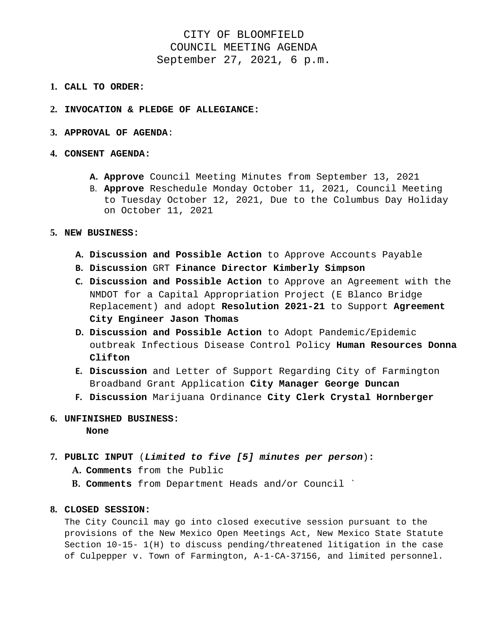## CITY OF BLOOMFIELD COUNCIL MEETING AGENDA September 27, 2021, 6 p.m.

- **1. CALL TO ORDER:**
- **2. INVOCATION & PLEDGE OF ALLEGIANCE:**
- **3. APPROVAL OF AGENDA**:

## **4. CONSENT AGENDA:**

- **A. Approve** Council Meeting Minutes from September 13, 2021
- B. **Approve** Reschedule Monday October 11, 2021, Council Meeting to Tuesday October 12, 2021, Due to the Columbus Day Holiday on October 11, 2021
- **5. NEW BUSINESS:** 
	- **A. Discussion and Possible Action** to Approve Accounts Payable
	- **B. Discussion** GRT **Finance Director Kimberly Simpson**
	- **C. Discussion and Possible Action** to Approve an Agreement with the NMDOT for a Capital Appropriation Project (E Blanco Bridge Replacement) and adopt **Resolution 2021-21** to Support **Agreement City Engineer Jason Thomas**
	- **D. Discussion and Possible Action** to Adopt Pandemic/Epidemic outbreak Infectious Disease Control Policy **Human Resources Donna Clifton**
	- **E. Discussion** and Letter of Support Regarding City of Farmington Broadband Grant Application **City Manager George Duncan**
	- **F. Discussion** Marijuana Ordinance **City Clerk Crystal Hornberger**
- **6. UNFINISHED BUSINESS: None**
- **7. PUBLIC INPUT** (*Limited to five [5] minutes per person*)**:** 
	- **A. Comments** from the Public
	- **B. Comments** from Department Heads and/or Council `

## **8. CLOSED SESSION:**

The City Council may go into closed executive session pursuant to the provisions of the New Mexico Open Meetings Act, New Mexico State Statute Section 10-15- 1(H) to discuss pending/threatened litigation in the case of Culpepper v. Town of Farmington, A-1-CA-37156, and limited personnel.